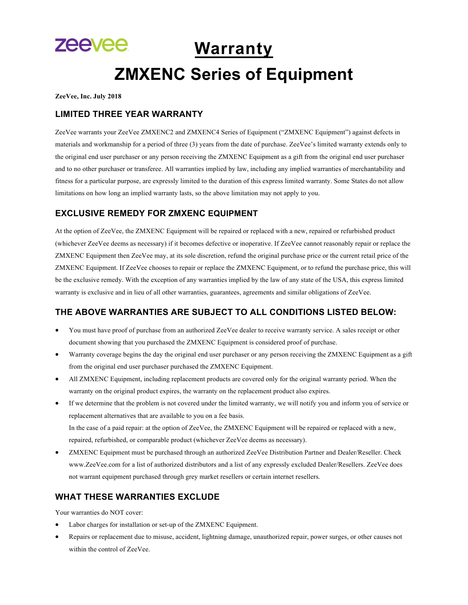# zeevee. **Warranty ZMXENC Series of Equipment**

**ZeeVee, Inc. July 2018**

## **LIMITED THREE YEAR WARRANTY**

ZeeVee warrants your ZeeVee ZMXENC2 and ZMXENC4 Series of Equipment ("ZMXENC Equipment") against defects in materials and workmanship for a period of three (3) years from the date of purchase. ZeeVee's limited warranty extends only to the original end user purchaser or any person receiving the ZMXENC Equipment as a gift from the original end user purchaser and to no other purchaser or transferee. All warranties implied by law, including any implied warranties of merchantability and fitness for a particular purpose, are expressly limited to the duration of this express limited warranty. Some States do not allow limitations on how long an implied warranty lasts, so the above limitation may not apply to you.

# **EXCLUSIVE REMEDY FOR ZMXENC EQUIPMENT**

At the option of ZeeVee, the ZMXENC Equipment will be repaired or replaced with a new, repaired or refurbished product (whichever ZeeVee deems as necessary) if it becomes defective or inoperative. If ZeeVee cannot reasonably repair or replace the ZMXENC Equipment then ZeeVee may, at its sole discretion, refund the original purchase price or the current retail price of the ZMXENC Equipment. If ZeeVee chooses to repair or replace the ZMXENC Equipment, or to refund the purchase price, this will be the exclusive remedy. With the exception of any warranties implied by the law of any state of the USA, this express limited warranty is exclusive and in lieu of all other warranties, guarantees, agreements and similar obligations of ZeeVee.

# **THE ABOVE WARRANTIES ARE SUBJECT TO ALL CONDITIONS LISTED BELOW:**

- You must have proof of purchase from an authorized ZeeVee dealer to receive warranty service. A sales receipt or other document showing that you purchased the ZMXENC Equipment is considered proof of purchase.
- Warranty coverage begins the day the original end user purchaser or any person receiving the ZMXENC Equipment as a gift from the original end user purchaser purchased the ZMXENC Equipment.
- All ZMXENC Equipment, including replacement products are covered only for the original warranty period. When the warranty on the original product expires, the warranty on the replacement product also expires.
- If we determine that the problem is not covered under the limited warranty, we will notify you and inform you of service or replacement alternatives that are available to you on a fee basis. In the case of a paid repair: at the option of ZeeVee, the ZMXENC Equipment will be repaired or replaced with a new, repaired, refurbished, or comparable product (whichever ZeeVee deems as necessary).
- ZMXENC Equipment must be purchased through an authorized ZeeVee Distribution Partner and Dealer/Reseller. Check www.ZeeVee.com for a list of authorized distributors and a list of any expressly excluded Dealer/Resellers. ZeeVee does not warrant equipment purchased through grey market resellers or certain internet resellers.

# **WHAT THESE WARRANTIES EXCLUDE**

Your warranties do NOT cover:

- Labor charges for installation or set-up of the ZMXENC Equipment.
- Repairs or replacement due to misuse, accident, lightning damage, unauthorized repair, power surges, or other causes not within the control of ZeeVee.